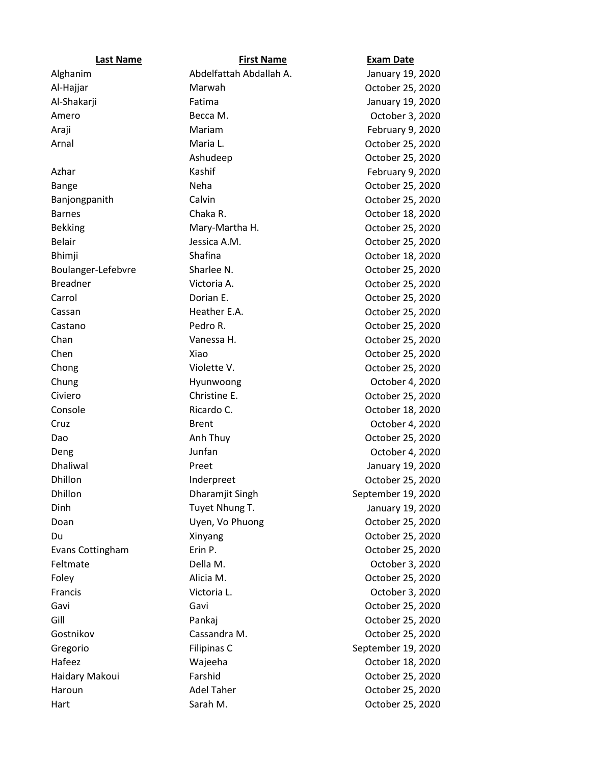| <b>Last Name</b>   | <b>First Name</b>       | <b>Exam Date</b>   |
|--------------------|-------------------------|--------------------|
| Alghanim           | Abdelfattah Abdallah A. | January 19, 2020   |
| Al-Hajjar          | Marwah                  | October 25, 2020   |
| Al-Shakarji        | Fatima                  | January 19, 2020   |
| Amero              | Becca M.                | October 3, 2020    |
| Araji              | Mariam                  | February 9, 2020   |
| Arnal              | Maria L.                | October 25, 2020   |
|                    | Ashudeep                | October 25, 2020   |
| Azhar              | Kashif                  | February 9, 2020   |
| Bange              | Neha                    | October 25, 2020   |
| Banjongpanith      | Calvin                  | October 25, 2020   |
| <b>Barnes</b>      | Chaka R.                | October 18, 2020   |
| <b>Bekking</b>     | Mary-Martha H.          | October 25, 2020   |
| <b>Belair</b>      | Jessica A.M.            | October 25, 2020   |
| <b>Bhimji</b>      | Shafina                 | October 18, 2020   |
| Boulanger-Lefebvre | Sharlee N.              | October 25, 2020   |
| <b>Breadner</b>    | Victoria A.             | October 25, 2020   |
| Carrol             | Dorian E.               | October 25, 2020   |
| Cassan             | Heather E.A.            | October 25, 2020   |
| Castano            | Pedro R.                | October 25, 2020   |
| Chan               | Vanessa H.              | October 25, 2020   |
| Chen               | Xiao                    | October 25, 2020   |
| Chong              | Violette V.             | October 25, 2020   |
| Chung              | Hyunwoong               | October 4, 2020    |
| Civiero            | Christine E.            | October 25, 2020   |
| Console            | Ricardo C.              | October 18, 2020   |
| Cruz               | <b>Brent</b>            | October 4, 2020    |
| Dao                | Anh Thuy                | October 25, 2020   |
| Deng               | Junfan                  | October 4, 2020    |
| <b>Dhaliwal</b>    | Preet                   | January 19, 2020   |
| Dhillon            | Inderpreet              | October 25, 2020   |
| Dhillon            | Dharamjit Singh         | September 19, 2020 |
| Dinh               | Tuyet Nhung T.          | January 19, 2020   |
| Doan               | Uyen, Vo Phuong         | October 25, 2020   |
| Du                 | Xinyang                 | October 25, 2020   |
| Evans Cottingham   | Erin P.                 | October 25, 2020   |
| Feltmate           | Della M.                | October 3, 2020    |
| Foley              | Alicia M.               | October 25, 2020   |
| Francis            | Victoria L.             | October 3, 2020    |
| Gavi               | Gavi                    | October 25, 2020   |
| Gill               | Pankaj                  | October 25, 2020   |
| Gostnikov          | Cassandra M.            | October 25, 2020   |
| Gregorio           | Filipinas C             | September 19, 2020 |
| Hafeez             | Wajeeha                 | October 18, 2020   |
| Haidary Makoui     | Farshid                 | October 25, 2020   |
| Haroun             | <b>Adel Taher</b>       | October 25, 2020   |
| Hart               | Sarah M.                | October 25, 2020   |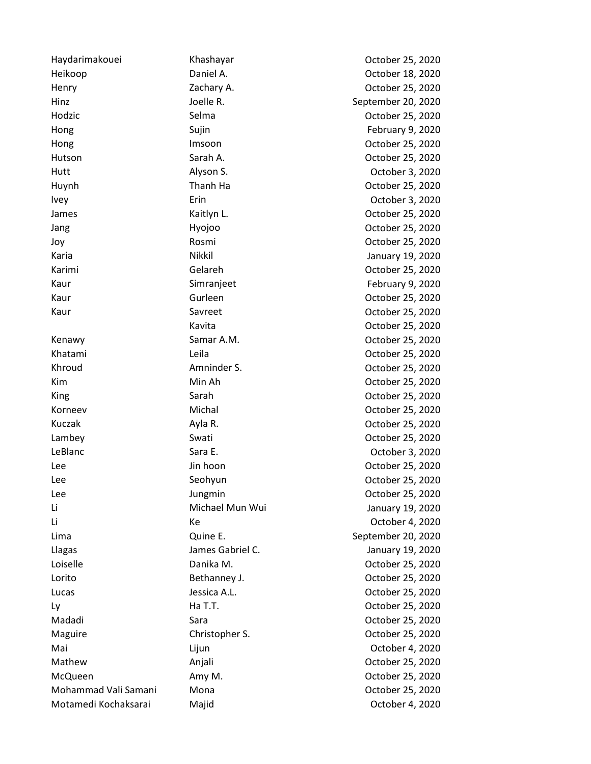Heikoop Daniel A. October 18, 2020 Henry Zachary A. October 25, 2020 Hinz Joelle R. September 20, 2020 Hodzic **Selma** Selma **Contract Contract Contract Contract Contract Contract Contract Contract Contract Contract Contract Contract Contract Contract Contract Contract Contract Contract Contract Contract Contract Contract Co** Hong Sujin Sujin Sujin February 9, 2020 Hong **Imsoon** Imsoon **Imsoon** Cocober 25, 2020 Hutson Sarah A. October 25, 2020 Hutt Alyson S. October 3, 2020 Huynh Thanh Ha October 25, 2020 Ivey Erin October 3, 2020 James Kaitlyn L. October 25, 2020 Jang **Hyojoo** Hyojoo October 25, 2020 Joy Rosmi October 25, 2020 Karia Nikkil January 19, 2020 Karimi Gelareh October 25, 2020 Kaur Simranjeet Simmangeet February 9, 2020 Kaur Gurleen October 25, 2020 Kaur Savreet Communications of the Savreet Communications of the Savret Communications of the Savret Communications of the Savret Communications of the Savret Communications of the Savret Communications of the Savret Commu Kenawy **Samar A.M.** Samar A.M. Colober 25, 2020 Khatami Leila October 25, 2020 Khroud **Amninder S.** Amninder S. Communication American Corresponding to the Music Section American American American American American American American American American American American American American American Ameri Kim Min Ah October 25, 2020 King Sarah Sarah Coctober 25, 2020 Korneev Michal October 25, 2020 Kuczak **Ayla R.** Ayla R. October 25, 2020 Lambey Swati October 25, 2020 LeBlanc Contract Sara E. Contract Sara E. Contract Section Apple Section Apple Section Apple Section Apple Section Apple Section Apple Section Apple Section Apple Section Apple Section Apple Section Apple Section Apple Sec Lee Jin hoon Jin hoon Cotober 25, 2020 Lee Seohyun Seohyun Coctober 25, 2020 Lee Jungmin Jungmin Corober 25, 2020 Li Michael Mun Wui January 19, 2020 Li Ke October 4, 2020 Lima Quine E. September 20, 2020 Llagas James Gabriel C. January 19, 2020 Loiselle Danika M. October 25, 2020 Lorito Bethanney J. October 25, 2020 Lucas Jessica A.L. October 25, 2020 Ly Ha T.T. October 25, 2020 Madadi Sara October 25, 2020 Maguire Christopher S. Christopher S. Corober 25, 2020 Mai Lijun October 4, 2020 Mathew Anjali October 25, 2020 McQueen Amy M. October 25, 2020 Mohammad Vali Samani Mona October 25, 2020

Haydarimakouei Khashayar October 25, 2020 Kavita October 25, 2020 Motamedi Kochaksarai Majid October 4, 2020